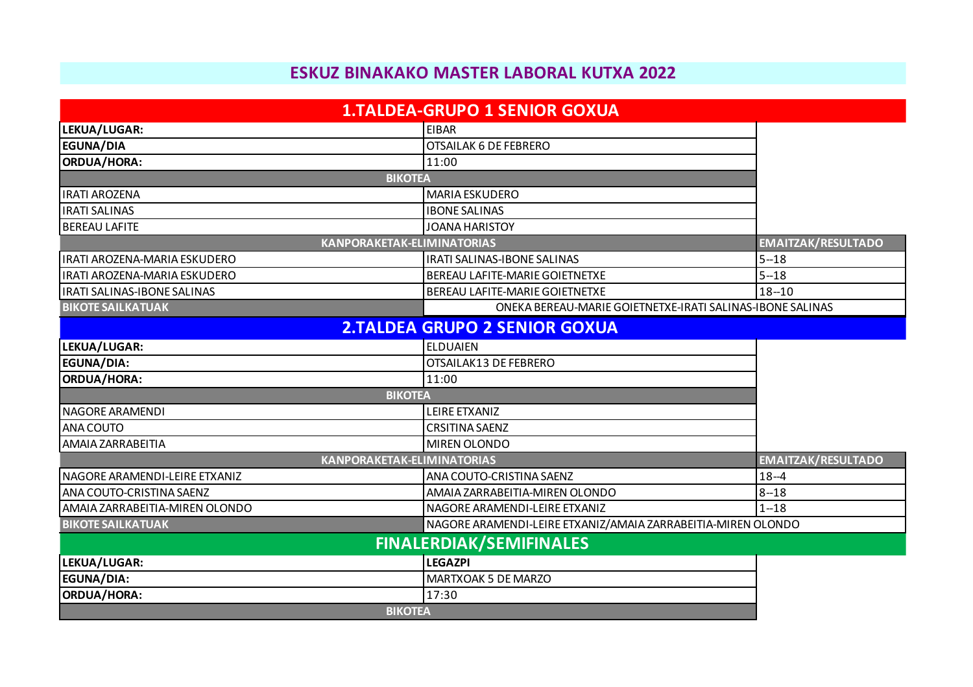## **ESKUZ BINAKAKO MASTER LABORAL KUTXA 2022**

|                                   | <b>1.TALDEA-GRUPO 1 SENIOR GOXUA</b>                         |                                                           |  |
|-----------------------------------|--------------------------------------------------------------|-----------------------------------------------------------|--|
| LEKUA/LUGAR:                      | <b>EIBAR</b>                                                 |                                                           |  |
| <b>EGUNA/DIA</b>                  | <b>OTSAILAK 6 DE FEBRERO</b>                                 |                                                           |  |
| ORDUA/HORA:                       | 11:00                                                        |                                                           |  |
| <b>BIKOTEA</b>                    |                                                              |                                                           |  |
| <b>IRATI AROZENA</b>              | <b>MARIA ESKUDERO</b>                                        |                                                           |  |
| <b>IRATI SALINAS</b>              | <b>IBONE SALINAS</b>                                         |                                                           |  |
| <b>BEREAU LAFITE</b>              | <b>JOANA HARISTOY</b>                                        |                                                           |  |
| <b>KANPORAKETAK-ELIMINATORIAS</b> |                                                              | <b>EMAITZAK/RESULTADO</b>                                 |  |
| IRATI AROZENA-MARIA ESKUDERO      | <b>IRATI SALINAS-IBONE SALINAS</b>                           | $5 - 18$                                                  |  |
| IRATI AROZENA-MARIA ESKUDERO      | BEREAU LAFITE-MARIE GOIETNETXE                               | $5 - 18$                                                  |  |
| IRATI SALINAS-IBONE SALINAS       | BEREAU LAFITE-MARIE GOIETNETXE                               | $18 - 10$                                                 |  |
| <b>BIKOTE SAILKATUAK</b>          |                                                              | ONEKA BEREAU-MARIE GOIETNETXE-IRATI SALINAS-IBONE SALINAS |  |
|                                   | <b>2.TALDEA GRUPO 2 SENIOR GOXUA</b>                         |                                                           |  |
| LEKUA/LUGAR:                      | <b>ELDUAIEN</b>                                              |                                                           |  |
| <b>EGUNA/DIA:</b>                 | OTSAILAK13 DE FEBRERO                                        |                                                           |  |
| ORDUA/HORA:                       | 11:00                                                        |                                                           |  |
| <b>BIKOTEA</b>                    |                                                              |                                                           |  |
| <b>NAGORE ARAMENDI</b>            | <b>LEIRE ETXANIZ</b>                                         |                                                           |  |
| <b>ANA COUTO</b>                  | <b>CRSITINA SAENZ</b>                                        |                                                           |  |
| AMAIA ZARRABEITIA                 | <b>MIREN OLONDO</b>                                          |                                                           |  |
| <b>KANPORAKETAK-ELIMINATORIAS</b> |                                                              | <b>EMAITZAK/RESULTADO</b>                                 |  |
| NAGORE ARAMENDI-LEIRE ETXANIZ     | ANA COUTO-CRISTINA SAENZ                                     | $18 - 4$                                                  |  |
| ANA COUTO-CRISTINA SAENZ          | AMAIA ZARRABEITIA-MIREN OLONDO                               | $8 - 18$                                                  |  |
| AMAIA ZARRABEITIA-MIREN OLONDO    | NAGORE ARAMENDI-LEIRE ETXANIZ                                | $1 - 18$                                                  |  |
| <b>BIKOTE SAILKATUAK</b>          | NAGORE ARAMENDI-LEIRE ETXANIZ/AMAIA ZARRABEITIA-MIREN OLONDO |                                                           |  |
|                                   | <b>FINALERDIAK/SEMIFINALES</b>                               |                                                           |  |
| LEKUA/LUGAR:                      | <b>LEGAZPI</b>                                               |                                                           |  |
| EGUNA/DIA:                        | MARTXOAK 5 DE MARZO                                          |                                                           |  |
| ORDUA/HORA:                       | 17:30                                                        |                                                           |  |
| <b>BIKOTEA</b>                    |                                                              |                                                           |  |